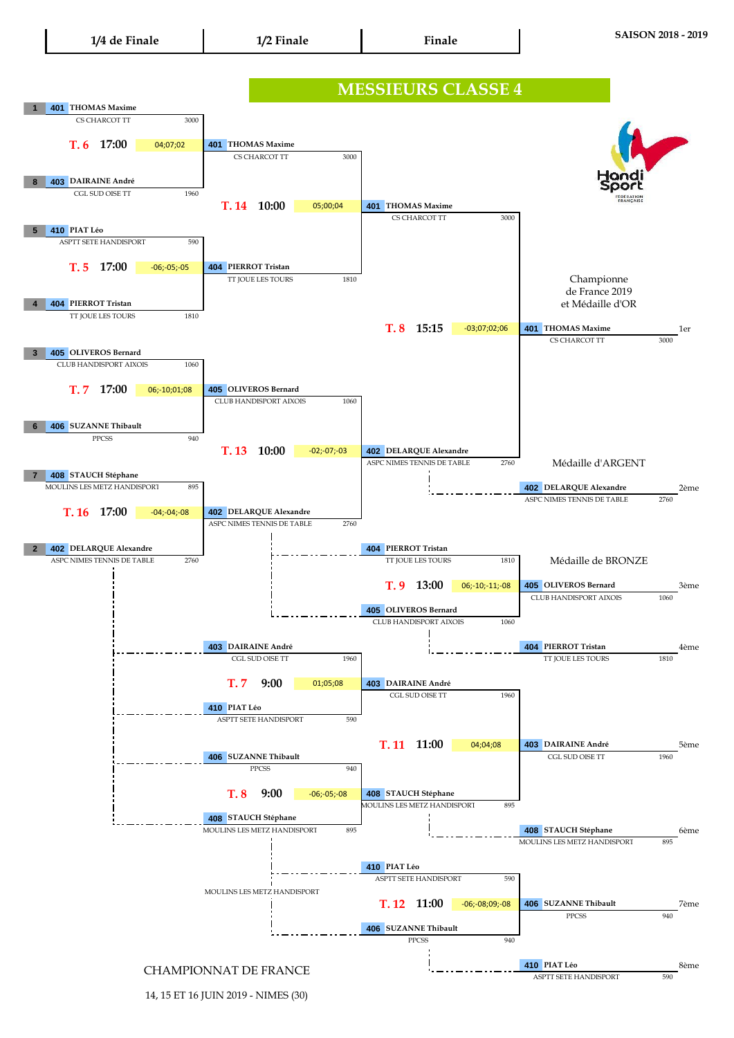14, 15 ET 16 JUIN 2019 - NIMES (30)